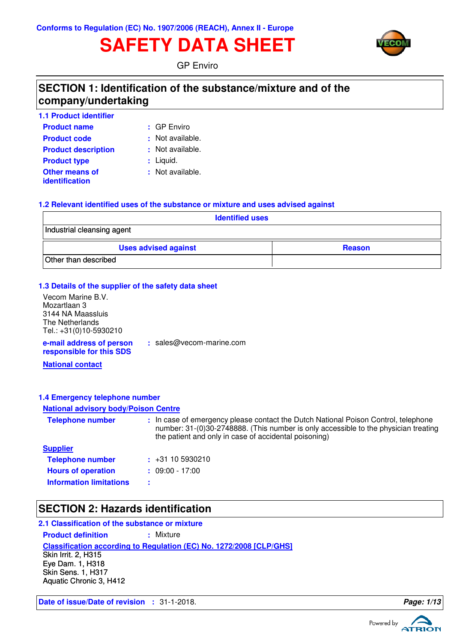# **SAFETY DATA SHEET**



GP Enviro

## **SECTION 1: Identification of the substance/mixture and of the company/undertaking**

| <b>1.1 Product identifier</b>                  |                  |
|------------------------------------------------|------------------|
| <b>Product name</b>                            | $\pm$ GP Enviro  |
| <b>Product code</b>                            | : Not available. |
| <b>Product description</b>                     | : Not available. |
| <b>Product type</b>                            | : Liquid.        |
| <b>Other means of</b><br><b>identification</b> | : Not available. |

### **1.2 Relevant identified uses of the substance or mixture and uses advised against**

| <b>Identified uses</b>      |               |  |
|-----------------------------|---------------|--|
| Industrial cleansing agent  |               |  |
| <b>Uses advised against</b> | <b>Reason</b> |  |
| Other than described        |               |  |

#### **1.3 Details of the supplier of the safety data sheet**

**e-mail address of person** Vecom Marine B.V. Mozartlaan 3 3144 NA Maassluis The Netherlands Tel.: +31(0)10-5930210

**:** sales@vecom-marine.com

**responsible for this SDS**

**National contact**

#### **1.4 Emergency telephone number**

#### **National advisory body/Poison Centre**

| <b>Telephone number</b>        | : In case of emergency please contact the Dutch National Poison Control, telephone<br>number: 31-(0)30-2748888. (This number is only accessible to the physician treating<br>the patient and only in case of accidental poisoning) |
|--------------------------------|------------------------------------------------------------------------------------------------------------------------------------------------------------------------------------------------------------------------------------|
| <b>Supplier</b>                |                                                                                                                                                                                                                                    |
| <b>Telephone number</b>        | $\div$ +31 10 5930210                                                                                                                                                                                                              |
| <b>Hours of operation</b>      | $: 09:00 - 17:00$                                                                                                                                                                                                                  |
| <b>Information limitations</b> |                                                                                                                                                                                                                                    |

## **SECTION 2: Hazards identification**

#### **2.1 Classification of the substance or mixture**

**Product definition : Mixture** 

**Classification according to Regulation (EC) No. 1272/2008 [CLP/GHS]**

Skin Irrit. 2, H315 Eye Dam. 1, H318 Skin Sens. 1, H317 Aquatic Chronic 3, H412

**Date of issue/Date of revision :** 31-1-2018. **Page: 1/13**

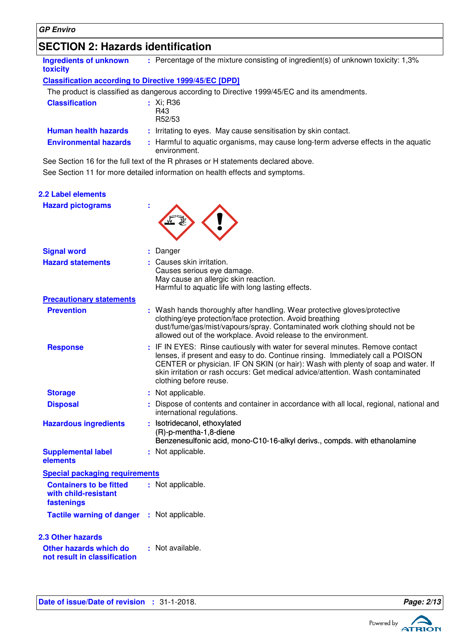## **SECTION 2: Hazards identification**

| <b>Ingredients of unknown</b><br>toxicity | : Percentage of the mixture consisting of ingredient(s) of unknown toxicity: 1,3%                  |
|-------------------------------------------|----------------------------------------------------------------------------------------------------|
|                                           | <b>Classification according to Directive 1999/45/EC [DPD]</b>                                      |
|                                           | The product is classified as dangerous according to Directive 1999/45/EC and its amendments.       |
| <b>Classification</b>                     | $:$ Xi; R36<br>R43<br>R52/53                                                                       |
| <b>Human health hazards</b>               | : Irritating to eyes. May cause sensitisation by skin contact.                                     |
| <b>Environmental hazards</b>              | : Harmful to aguatic organisms, may cause long-term adverse effects in the aguatic<br>environment. |

See Section 11 for more detailed information on health effects and symptoms. See Section 16 for the full text of the R phrases or H statements declared above.

| <b>2.2 Label elements</b>                                            |                                                                                                                                                                                                                                                                                                                                                                   |
|----------------------------------------------------------------------|-------------------------------------------------------------------------------------------------------------------------------------------------------------------------------------------------------------------------------------------------------------------------------------------------------------------------------------------------------------------|
| <b>Hazard pictograms</b>                                             |                                                                                                                                                                                                                                                                                                                                                                   |
| <b>Signal word</b>                                                   | : Danger                                                                                                                                                                                                                                                                                                                                                          |
| <b>Hazard statements</b>                                             | : Causes skin irritation.<br>Causes serious eye damage.<br>May cause an allergic skin reaction.<br>Harmful to aquatic life with long lasting effects.                                                                                                                                                                                                             |
| <b>Precautionary statements</b>                                      |                                                                                                                                                                                                                                                                                                                                                                   |
| <b>Prevention</b>                                                    | : Wash hands thoroughly after handling. Wear protective gloves/protective<br>clothing/eye protection/face protection. Avoid breathing<br>dust/fume/gas/mist/vapours/spray. Contaminated work clothing should not be<br>allowed out of the workplace. Avoid release to the environment.                                                                            |
| <b>Response</b>                                                      | : IF IN EYES: Rinse cautiously with water for several minutes. Remove contact<br>lenses, if present and easy to do. Continue rinsing. Immediately call a POISON<br>CENTER or physician. IF ON SKIN (or hair): Wash with plenty of soap and water. If<br>skin irritation or rash occurs: Get medical advice/attention. Wash contaminated<br>clothing before reuse. |
| <b>Storage</b>                                                       | : Not applicable.                                                                                                                                                                                                                                                                                                                                                 |
| <b>Disposal</b>                                                      | : Dispose of contents and container in accordance with all local, regional, national and<br>international regulations.                                                                                                                                                                                                                                            |
| <b>Hazardous ingredients</b>                                         | : Isotridecanol, ethoxylated<br>(R)-p-mentha-1,8-diene<br>Benzenesulfonic acid, mono-C10-16-alkyl derivs., compds. with ethanolamine                                                                                                                                                                                                                              |
| <b>Supplemental label</b><br>elements                                | : Not applicable.                                                                                                                                                                                                                                                                                                                                                 |
| <b>Special packaging requirements</b>                                |                                                                                                                                                                                                                                                                                                                                                                   |
| <b>Containers to be fitted</b><br>with child-resistant<br>fastenings | : Not applicable.                                                                                                                                                                                                                                                                                                                                                 |
| Tactile warning of danger : Not applicable.                          |                                                                                                                                                                                                                                                                                                                                                                   |
| <b>2.3 Other hazards</b>                                             |                                                                                                                                                                                                                                                                                                                                                                   |
| Other hazards which do<br>not result in classification               | : Not available.                                                                                                                                                                                                                                                                                                                                                  |

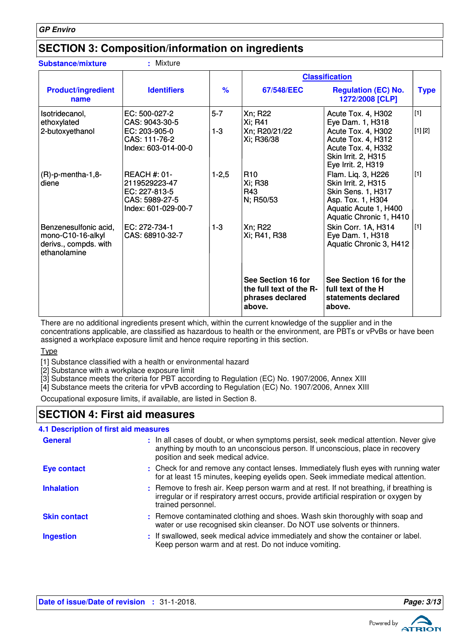## **SECTION 3: Composition/information on ingredients**

| <b>Substance/mixture</b>                                                            | : Mixture                                                                                      |                    |                                                                             |                                                                                                                                                       |                |
|-------------------------------------------------------------------------------------|------------------------------------------------------------------------------------------------|--------------------|-----------------------------------------------------------------------------|-------------------------------------------------------------------------------------------------------------------------------------------------------|----------------|
|                                                                                     |                                                                                                |                    | <b>Classification</b>                                                       |                                                                                                                                                       |                |
| <b>Product/ingredient</b><br>name                                                   | <b>Identifiers</b>                                                                             | $\%$               | 67/548/EEC                                                                  | <b>Regulation (EC) No.</b><br>1272/2008 [CLP]                                                                                                         | <b>Type</b>    |
| Isotridecanol,<br>ethoxylated<br>2-butoxyethanol                                    | EC: 500-027-2<br>CAS: 9043-30-5<br>$EC: 203-905-0$<br>CAS: 111-76-2<br>Index: 603-014-00-0     | $5 - 7$<br>$1 - 3$ | Xn; R22<br>Xi; R41<br>Xn; R20/21/22<br>Xi; R36/38                           | Acute Tox. 4, H302<br>Eye Dam. 1, H318<br>Acute Tox. 4, H302<br>Acute Tox. 4, H312<br>Acute Tox. 4, H332<br>Skin Irrit. 2, H315<br>Eye Irrit. 2, H319 | [1]<br>[1] [2] |
| $(R)-p$ -mentha-1,8-<br>diene                                                       | <b>REACH #: 01-</b><br>2119529223-47<br>EC: 227-813-5<br>CAS: 5989-27-5<br>Index: 601-029-00-7 | $1 - 2,5$          | R <sub>10</sub><br>Xi; R38<br>R43<br>N; R50/53                              | Flam. Liq. 3, H226<br>Skin Irrit. 2, H315<br><b>Skin Sens. 1, H317</b><br>Asp. Tox. 1, H304<br>Aquatic Acute 1, H400<br>Aquatic Chronic 1, H410       | [1]            |
| Benzenesulfonic acid,<br>mono-C10-16-alkyl<br>derivs., compds. with<br>ethanolamine | EC: 272-734-1<br>CAS: 68910-32-7                                                               | $1 - 3$            | Xn; R22<br>Xi; R41, R38                                                     | Skin Corr. 1A, H314<br>Eye Dam. 1, H318<br>Aquatic Chronic 3, H412                                                                                    | [1]            |
|                                                                                     |                                                                                                |                    | See Section 16 for<br>the full text of the R-<br>phrases declared<br>above. | See Section 16 for the<br>full text of the H<br>statements declared<br>above.                                                                         |                |

There are no additional ingredients present which, within the current knowledge of the supplier and in the concentrations applicable, are classified as hazardous to health or the environment, are PBTs or vPvBs or have been assigned a workplace exposure limit and hence require reporting in this section.

#### Type

[1] Substance classified with a health or environmental hazard

[2] Substance with a workplace exposure limit

[3] Substance meets the criteria for PBT according to Regulation (EC) No. 1907/2006, Annex XIII

[4] Substance meets the criteria for vPvB according to Regulation (EC) No. 1907/2006, Annex XIII

Occupational exposure limits, if available, are listed in Section 8.

## **SECTION 4: First aid measures**

#### **4.1 Description of first aid measures**

| <b>General</b>      | : In all cases of doubt, or when symptoms persist, seek medical attention. Never give<br>anything by mouth to an unconscious person. If unconscious, place in recovery<br>position and seek medical advice. |
|---------------------|-------------------------------------------------------------------------------------------------------------------------------------------------------------------------------------------------------------|
| Eye contact         | : Check for and remove any contact lenses. Immediately flush eyes with running water<br>for at least 15 minutes, keeping eyelids open. Seek immediate medical attention.                                    |
| <b>Inhalation</b>   | : Remove to fresh air. Keep person warm and at rest. If not breathing, if breathing is<br>irregular or if respiratory arrest occurs, provide artificial respiration or oxygen by<br>trained personnel.      |
| <b>Skin contact</b> | : Remove contaminated clothing and shoes. Wash skin thoroughly with soap and<br>water or use recognised skin cleanser. Do NOT use solvents or thinners.                                                     |
| <b>Ingestion</b>    | : If swallowed, seek medical advice immediately and show the container or label.<br>Keep person warm and at rest. Do not induce vomiting.                                                                   |

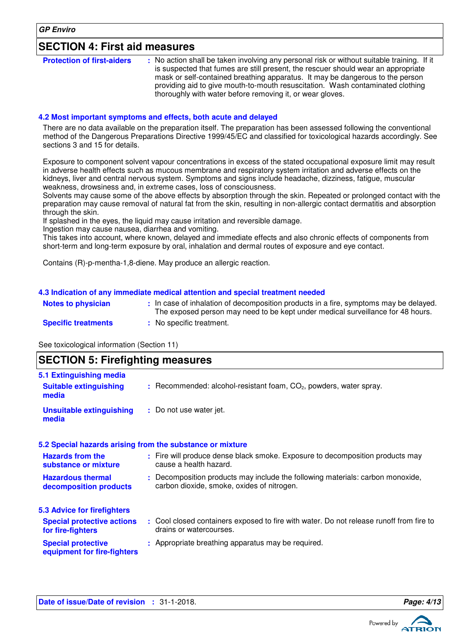## **SECTION 4: First aid measures**

#### **4.2 Most important symptoms and effects, both acute and delayed**

There are no data available on the preparation itself. The preparation has been assessed following the conventional method of the Dangerous Preparations Directive 1999/45/EC and classified for toxicological hazards accordingly. See sections 3 and 15 for details.

Exposure to component solvent vapour concentrations in excess of the stated occupational exposure limit may result in adverse health effects such as mucous membrane and respiratory system irritation and adverse effects on the kidneys, liver and central nervous system. Symptoms and signs include headache, dizziness, fatigue, muscular weakness, drowsiness and, in extreme cases, loss of consciousness.

Solvents may cause some of the above effects by absorption through the skin. Repeated or prolonged contact with the preparation may cause removal of natural fat from the skin, resulting in non-allergic contact dermatitis and absorption through the skin.

If splashed in the eyes, the liquid may cause irritation and reversible damage.

Ingestion may cause nausea, diarrhea and vomiting.

This takes into account, where known, delayed and immediate effects and also chronic effects of components from short-term and long-term exposure by oral, inhalation and dermal routes of exposure and eye contact.

Contains (R)-p-mentha-1,8-diene. May produce an allergic reaction.

#### **4.3 Indication of any immediate medical attention and special treatment needed**

| <b>Notes to physician</b>  | In case of inhalation of decomposition products in a fire, symptoms may be delayed.<br>The exposed person may need to be kept under medical surveillance for 48 hours. |
|----------------------------|------------------------------------------------------------------------------------------------------------------------------------------------------------------------|
| <b>Specific treatments</b> | No specific treatment.                                                                                                                                                 |

See toxicological information (Section 11)

## **SECTION 5: Firefighting measures**

| 5.1 Extinguishing media                                   |                                                                                                                              |
|-----------------------------------------------------------|------------------------------------------------------------------------------------------------------------------------------|
| <b>Suitable extinguishing</b><br>media                    | $:$ Recommended: alcohol-resistant foam, $CO2$ , powders, water spray.                                                       |
| <b>Unsuitable extinguishing</b><br>media                  | : Do not use water jet.                                                                                                      |
| 5.2 Special hazards arising from the substance or mixture |                                                                                                                              |
| <b>Hazards from the</b><br>substance or mixture           | : Fire will produce dense black smoke. Exposure to decomposition products may<br>cause a health hazard.                      |
| <b>Hazardous thermal</b><br>decomposition products        | : Decomposition products may include the following materials: carbon monoxide,<br>carbon dioxide, smoke, oxides of nitrogen. |
| 5.3 Advice for firefighters                               |                                                                                                                              |
| <b>Special protective actions</b><br>for fire-fighters    | : Cool closed containers exposed to fire with water. Do not release runoff from fire to<br>drains or watercourses.           |
| <b>Special protective</b><br>equipment for fire-fighters  | : Appropriate breathing apparatus may be required.                                                                           |

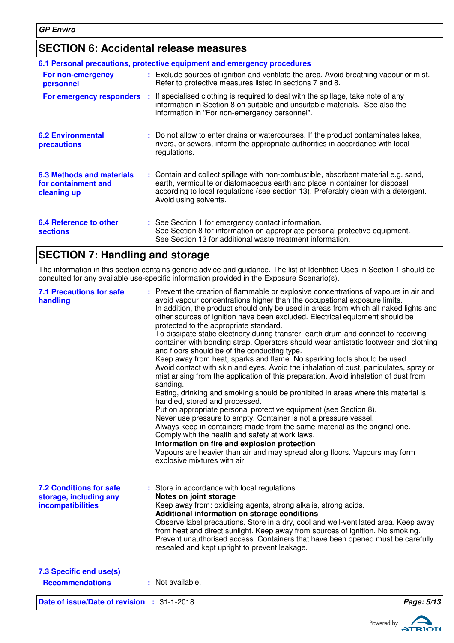## **SECTION 6: Accidental release measures**

|                                                                        | 6.1 Personal precautions, protective equipment and emergency procedures                                                                                                                                                                                                            |
|------------------------------------------------------------------------|------------------------------------------------------------------------------------------------------------------------------------------------------------------------------------------------------------------------------------------------------------------------------------|
| For non-emergency<br>personnel                                         | : Exclude sources of ignition and ventilate the area. Avoid breathing vapour or mist.<br>Refer to protective measures listed in sections 7 and 8.                                                                                                                                  |
| For emergency responders                                               | : If specialised clothing is required to deal with the spillage, take note of any<br>information in Section 8 on suitable and unsuitable materials. See also the<br>information in "For non-emergency personnel".                                                                  |
| <b>6.2 Environmental</b><br>precautions                                | : Do not allow to enter drains or watercourses. If the product contaminates lakes,<br>rivers, or sewers, inform the appropriate authorities in accordance with local<br>regulations.                                                                                               |
| <b>6.3 Methods and materials</b><br>for containment and<br>cleaning up | : Contain and collect spillage with non-combustible, absorbent material e.g. sand,<br>earth, vermiculite or diatomaceous earth and place in container for disposal<br>according to local regulations (see section 13). Preferably clean with a detergent.<br>Avoid using solvents. |
| 6.4 Reference to other<br><b>sections</b>                              | : See Section 1 for emergency contact information.<br>See Section 8 for information on appropriate personal protective equipment.<br>See Section 13 for additional waste treatment information.                                                                                    |

## **SECTION 7: Handling and storage**

The information in this section contains generic advice and guidance. The list of Identified Uses in Section 1 should be consulted for any available use-specific information provided in the Exposure Scenario(s).

| <b>7.1 Precautions for safe</b><br>handling                                   | : Prevent the creation of flammable or explosive concentrations of vapours in air and<br>avoid vapour concentrations higher than the occupational exposure limits.<br>In addition, the product should only be used in areas from which all naked lights and<br>other sources of ignition have been excluded. Electrical equipment should be<br>protected to the appropriate standard.<br>To dissipate static electricity during transfer, earth drum and connect to receiving<br>container with bonding strap. Operators should wear antistatic footwear and clothing<br>and floors should be of the conducting type.<br>Keep away from heat, sparks and flame. No sparking tools should be used.<br>Avoid contact with skin and eyes. Avoid the inhalation of dust, particulates, spray or<br>mist arising from the application of this preparation. Avoid inhalation of dust from<br>sanding.<br>Eating, drinking and smoking should be prohibited in areas where this material is<br>handled, stored and processed.<br>Put on appropriate personal protective equipment (see Section 8).<br>Never use pressure to empty. Container is not a pressure vessel.<br>Always keep in containers made from the same material as the original one.<br>Comply with the health and safety at work laws.<br>Information on fire and explosion protection<br>Vapours are heavier than air and may spread along floors. Vapours may form<br>explosive mixtures with air. |            |
|-------------------------------------------------------------------------------|----------------------------------------------------------------------------------------------------------------------------------------------------------------------------------------------------------------------------------------------------------------------------------------------------------------------------------------------------------------------------------------------------------------------------------------------------------------------------------------------------------------------------------------------------------------------------------------------------------------------------------------------------------------------------------------------------------------------------------------------------------------------------------------------------------------------------------------------------------------------------------------------------------------------------------------------------------------------------------------------------------------------------------------------------------------------------------------------------------------------------------------------------------------------------------------------------------------------------------------------------------------------------------------------------------------------------------------------------------------------------------------------------------------------------------------------------------------|------------|
| <b>7.2 Conditions for safe</b><br>storage, including any<br>incompatibilities | : Store in accordance with local regulations.<br>Notes on joint storage<br>Keep away from: oxidising agents, strong alkalis, strong acids.<br>Additional information on storage conditions<br>Observe label precautions. Store in a dry, cool and well-ventilated area. Keep away<br>from heat and direct sunlight. Keep away from sources of ignition. No smoking.<br>Prevent unauthorised access. Containers that have been opened must be carefully<br>resealed and kept upright to prevent leakage.                                                                                                                                                                                                                                                                                                                                                                                                                                                                                                                                                                                                                                                                                                                                                                                                                                                                                                                                                        |            |
| 7.3 Specific end use(s)<br><b>Recommendations</b>                             | : Not available.                                                                                                                                                                                                                                                                                                                                                                                                                                                                                                                                                                                                                                                                                                                                                                                                                                                                                                                                                                                                                                                                                                                                                                                                                                                                                                                                                                                                                                               |            |
| Date of issue/Date of revision : 31-1-2018.                                   |                                                                                                                                                                                                                                                                                                                                                                                                                                                                                                                                                                                                                                                                                                                                                                                                                                                                                                                                                                                                                                                                                                                                                                                                                                                                                                                                                                                                                                                                | Page: 5/13 |

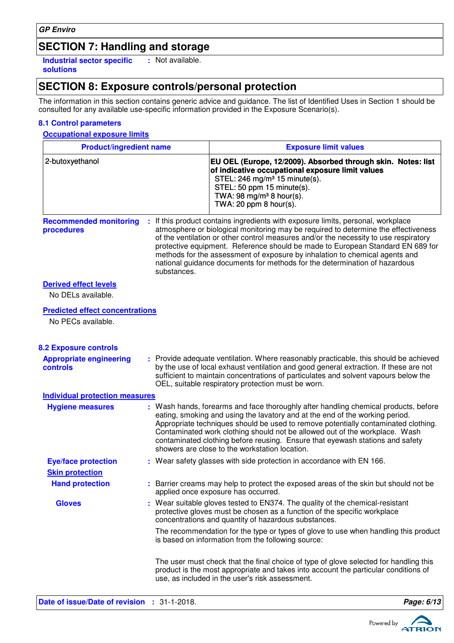## **SECTION 7: Handling and storage**

**Industrial sector specific : solutions** : Not available.

## **SECTION 8: Exposure controls/personal protection**

The information in this section contains generic advice and guidance. The list of Identified Uses in Section 1 should be consulted for any available use-specific information provided in the Exposure Scenario(s).

#### **8.1 Control parameters**

#### **Occupational exposure limits**

| <b>Product/ingredient name</b>                               |             | <b>Exposure limit values</b>                                                                                                                                                                                                                                                                                                                                                                                                                                                                                  |  |  |
|--------------------------------------------------------------|-------------|---------------------------------------------------------------------------------------------------------------------------------------------------------------------------------------------------------------------------------------------------------------------------------------------------------------------------------------------------------------------------------------------------------------------------------------------------------------------------------------------------------------|--|--|
| 2-butoxyethanol                                              |             | EU OEL (Europe, 12/2009). Absorbed through skin. Notes: list<br>of indicative occupational exposure limit values<br>STEL: 246 mg/m <sup>3</sup> 15 minute(s).<br>STEL: 50 ppm 15 minute(s).<br>TWA: 98 mg/m <sup>3</sup> 8 hour(s).<br>TWA: 20 ppm $8$ hour(s).                                                                                                                                                                                                                                               |  |  |
| <b>Recommended monitoring</b><br>procedures                  | substances. | : If this product contains ingredients with exposure limits, personal, workplace<br>atmosphere or biological monitoring may be required to determine the effectiveness<br>of the ventilation or other control measures and/or the necessity to use respiratory<br>protective equipment. Reference should be made to European Standard EN 689 for<br>methods for the assessment of exposure by inhalation to chemical agents and<br>national guidance documents for methods for the determination of hazardous |  |  |
| <b>Derived effect levels</b><br>No DELs available.           |             |                                                                                                                                                                                                                                                                                                                                                                                                                                                                                                               |  |  |
| <b>Predicted effect concentrations</b><br>No PECs available. |             |                                                                                                                                                                                                                                                                                                                                                                                                                                                                                                               |  |  |
| <b>8.2 Exposure controls</b>                                 |             |                                                                                                                                                                                                                                                                                                                                                                                                                                                                                                               |  |  |
| <b>Appropriate engineering</b><br>controls                   |             | : Provide adequate ventilation. Where reasonably practicable, this should be achieved<br>by the use of local exhaust ventilation and good general extraction. If these are not<br>sufficient to maintain concentrations of particulates and solvent vapours below the<br>OEL, suitable respiratory protection must be worn.                                                                                                                                                                                   |  |  |
| <b>Individual protection measures</b>                        |             |                                                                                                                                                                                                                                                                                                                                                                                                                                                                                                               |  |  |
| <b>Hygiene measures</b>                                      |             | : Wash hands, forearms and face thoroughly after handling chemical products, before<br>eating, smoking and using the lavatory and at the end of the working period.<br>Appropriate techniques should be used to remove potentially contaminated clothing.<br>Contaminated work clothing should not be allowed out of the workplace. Wash<br>contaminated clothing before reusing. Ensure that eyewash stations and safety<br>showers are close to the workstation location.                                   |  |  |
| <b>Eye/face protection</b>                                   |             | : Wear safety glasses with side protection in accordance with EN 166.                                                                                                                                                                                                                                                                                                                                                                                                                                         |  |  |
| <b>Skin protection</b>                                       |             |                                                                                                                                                                                                                                                                                                                                                                                                                                                                                                               |  |  |
| <b>Hand protection</b>                                       |             | : Barrier creams may help to protect the exposed areas of the skin but should not be<br>applied once exposure has occurred.                                                                                                                                                                                                                                                                                                                                                                                   |  |  |
| <b>Gloves</b>                                                |             | : Wear suitable gloves tested to EN374. The quality of the chemical-resistant<br>protective gloves must be chosen as a function of the specific workplace<br>concentrations and quantity of hazardous substances.                                                                                                                                                                                                                                                                                             |  |  |
|                                                              |             | The recommendation for the type or types of glove to use when handling this product<br>is based on information from the following source:                                                                                                                                                                                                                                                                                                                                                                     |  |  |
|                                                              |             | The user must check that the final choice of type of glove selected for handling this<br>product is the most appropriate and takes into account the particular conditions of<br>use, as included in the user's risk assessment.                                                                                                                                                                                                                                                                               |  |  |





ATRIOI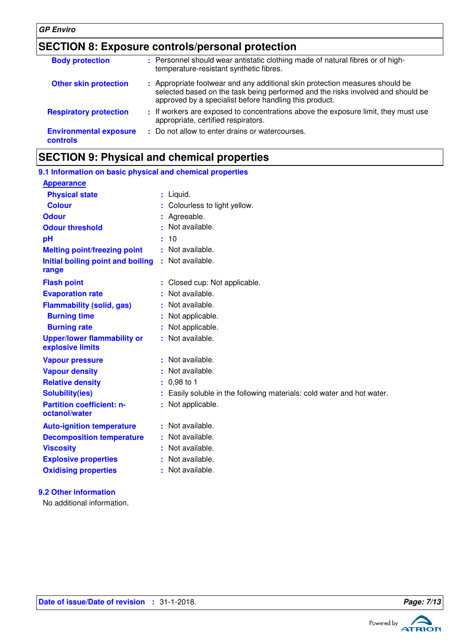### **GP Enviro**

## **SECTION 8: Exposure controls/personal protection**

| <b>Body protection</b>                    | : Personnel should wear antistatic clothing made of natural fibres or of high-<br>temperature-resistant synthetic fibres.                                                                                                 |
|-------------------------------------------|---------------------------------------------------------------------------------------------------------------------------------------------------------------------------------------------------------------------------|
| <b>Other skin protection</b>              | : Appropriate footwear and any additional skin protection measures should be<br>selected based on the task being performed and the risks involved and should be<br>approved by a specialist before handling this product. |
| <b>Respiratory protection</b>             | : If workers are exposed to concentrations above the exposure limit, they must use<br>appropriate, certified respirators.                                                                                                 |
| <b>Environmental exposure</b><br>controls | : Do not allow to enter drains or watercourses.                                                                                                                                                                           |

## **SECTION 9: Physical and chemical properties**

| 9.1 Information on basic physical and chemical properties |                                                                        |
|-----------------------------------------------------------|------------------------------------------------------------------------|
| <b>Appearance</b>                                         |                                                                        |
| <b>Physical state</b>                                     | : Liquid.                                                              |
| <b>Colour</b>                                             | Colourless to light yellow.                                            |
| <b>Odour</b>                                              | Agreeable.                                                             |
| <b>Odour threshold</b>                                    | : Not available.                                                       |
| pH                                                        | : 10                                                                   |
| <b>Melting point/freezing point</b>                       | : Not available.                                                       |
| Initial boiling point and boiling<br>range                | : Not available.                                                       |
| <b>Flash point</b>                                        | : Closed cup: Not applicable.                                          |
| <b>Evaporation rate</b>                                   | : Not available.                                                       |
| <b>Flammability (solid, gas)</b>                          | : Not available.                                                       |
| <b>Burning time</b>                                       | Not applicable.                                                        |
| <b>Burning rate</b>                                       | Not applicable.                                                        |
| <b>Upper/lower flammability or</b><br>explosive limits    | : Not available.                                                       |
| <b>Vapour pressure</b>                                    | : Not available.                                                       |
| <b>Vapour density</b>                                     | Not available.                                                         |
| <b>Relative density</b>                                   | $: 0,98$ to 1                                                          |
| <b>Solubility(ies)</b>                                    | : Easily soluble in the following materials: cold water and hot water. |
| <b>Partition coefficient: n-</b><br>octanol/water         | : Not applicable.                                                      |
| <b>Auto-ignition temperature</b>                          | : Not available.                                                       |
| <b>Decomposition temperature</b>                          | : Not available.                                                       |
| <b>Viscosity</b>                                          | : Not available.                                                       |
| <b>Explosive properties</b>                               | Not available.                                                         |
| <b>Oxidising properties</b>                               | : Not available.                                                       |
|                                                           |                                                                        |

### **9.2 Other information**

No additional information.

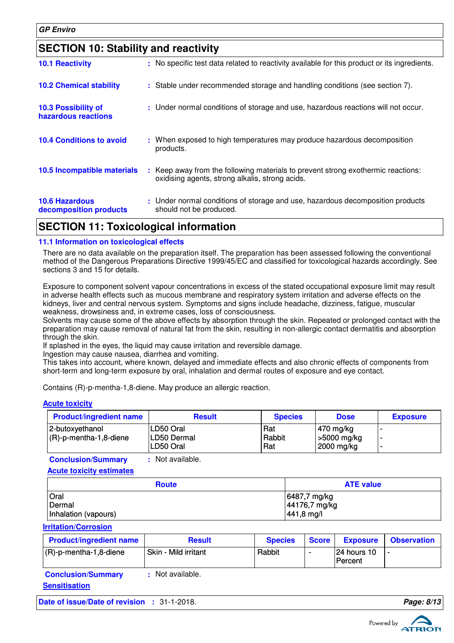| <b>SECTION 10: Stability and reactivity</b>     |  |                                                                                                                                     |  |
|-------------------------------------------------|--|-------------------------------------------------------------------------------------------------------------------------------------|--|
| <b>10.1 Reactivity</b>                          |  | : No specific test data related to reactivity available for this product or its ingredients.                                        |  |
| <b>10.2 Chemical stability</b>                  |  | : Stable under recommended storage and handling conditions (see section 7).                                                         |  |
| 10.3 Possibility of<br>hazardous reactions      |  | : Under normal conditions of storage and use, hazardous reactions will not occur.                                                   |  |
| <b>10.4 Conditions to avoid</b>                 |  | : When exposed to high temperatures may produce hazardous decomposition<br>products.                                                |  |
| 10.5 Incompatible materials                     |  | : Keep away from the following materials to prevent strong exothermic reactions:<br>oxidising agents, strong alkalis, strong acids. |  |
| <b>10.6 Hazardous</b><br>decomposition products |  | : Under normal conditions of storage and use, hazardous decomposition products<br>should not be produced.                           |  |

## **SECTION 11: Toxicological information**

### **11.1 Information on toxicological effects**

There are no data available on the preparation itself. The preparation has been assessed following the conventional method of the Dangerous Preparations Directive 1999/45/EC and classified for toxicological hazards accordingly. See sections 3 and 15 for details.

Exposure to component solvent vapour concentrations in excess of the stated occupational exposure limit may result in adverse health effects such as mucous membrane and respiratory system irritation and adverse effects on the kidneys, liver and central nervous system. Symptoms and signs include headache, dizziness, fatigue, muscular weakness, drowsiness and, in extreme cases, loss of consciousness.

Solvents may cause some of the above effects by absorption through the skin. Repeated or prolonged contact with the preparation may cause removal of natural fat from the skin, resulting in non-allergic contact dermatitis and absorption through the skin.

If splashed in the eyes, the liquid may cause irritation and reversible damage.

Ingestion may cause nausea, diarrhea and vomiting.

This takes into account, where known, delayed and immediate effects and also chronic effects of components from short-term and long-term exposure by oral, inhalation and dermal routes of exposure and eye contact.

Contains (R)-p-mentha-1,8-diene. May produce an allergic reaction.

| <b>Product/ingredient name</b>               | <b>Result</b>                           | <b>Species</b>       | <b>Dose</b>                                           | <b>Exposure</b> |
|----------------------------------------------|-----------------------------------------|----------------------|-------------------------------------------------------|-----------------|
| 2-butoxyethanol<br>$(R)-p$ -mentha-1,8-diene | LD50 Oral<br> LD50 Dermal<br>'LD50 Oral | Rat<br>Rabbit<br>Rat | $\frac{1470}{19}$ mg/kg<br> >5000 mg/kg<br>2000 mg/kg |                 |

**Conclusion/Summary :** Not available.

#### **Acute toxicity estimates**

**Acute toxicity**

| <b>Route</b>         | <b>ATE value</b> |
|----------------------|------------------|
| Oral                 | 6487,7 mg/kg     |
| Dermal               | 44176,7 mg/kg    |
| Inhalation (vapours) | 441,8 mg/l       |

**Irritation/Corrosion**

| <b>Product/ingredient name</b> | <b>Result</b>        | <b>Species</b> | Score I                  | <b>Exposure</b>                 | <b>Observation</b> |
|--------------------------------|----------------------|----------------|--------------------------|---------------------------------|--------------------|
| $(R)-p$ -mentha-1,8-diene      | Skin - Mild irritant | Rabbit         | $\overline{\phantom{0}}$ | 124 hours 10<br><b>IPercent</b> |                    |

| <b>Conclusion/Summary</b> | : Not available. |
|---------------------------|------------------|
| <b>Sensitisation</b>      |                  |

**Date of issue/Date of revision :** 31-1-2018. **Page: 8/13 Page: 8/13** 

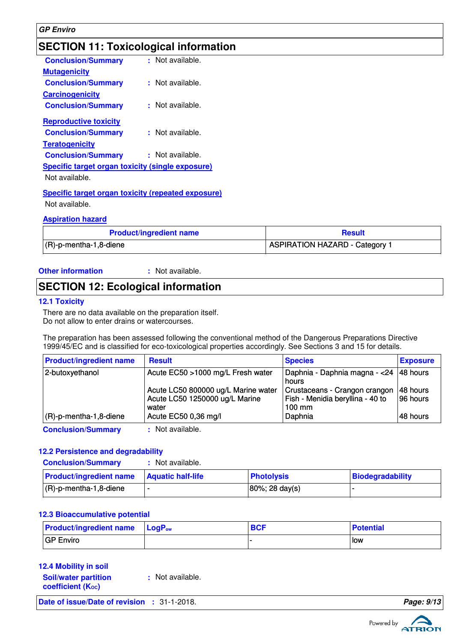#### **GP Enviro**

## **SECTION 11: Toxicological information**

| <b>Conclusion/Summary</b>                               | : Not available. |
|---------------------------------------------------------|------------------|
| <b>Mutagenicity</b>                                     |                  |
| <b>Conclusion/Summary</b>                               | : Not available. |
| <b>Carcinogenicity</b>                                  |                  |
| <b>Conclusion/Summary</b>                               | ≞ Not available. |
| <b>Reproductive toxicity</b>                            |                  |
| <b>Conclusion/Summary</b>                               | : Not available. |
| <b>Teratogenicity</b>                                   |                  |
| <b>Conclusion/Summary</b>                               | : Not available. |
| Specific target organ toxicity (single exposure)        |                  |
| Not available.                                          |                  |
| Specific target organ toxicity (repeated exposure)<br>. |                  |
|                                                         |                  |

Not available.

#### **Aspiration hazard**

| <b>Product/ingredient name</b> | <b>Result</b>                         |
|--------------------------------|---------------------------------------|
| $(R)-p$ -mentha-1,8-diene      | <b>ASPIRATION HAZARD - Category 1</b> |

#### **Other information :**

: Not available.

## **SECTION 12: Ecological information**

#### **12.1 Toxicity**

There are no data available on the preparation itself. Do not allow to enter drains or watercourses.

The preparation has been assessed following the conventional method of the Dangerous Preparations Directive 1999/45/EC and is classified for eco-toxicological properties accordingly. See Sections 3 and 15 for details.

| <b>Product/ingredient name</b> | <b>Result</b>                                                                  | <b>Species</b>                                                                        | <b>Exposure</b>      |
|--------------------------------|--------------------------------------------------------------------------------|---------------------------------------------------------------------------------------|----------------------|
| 2-butoxyethanol                | Acute EC50 >1000 mg/L Fresh water                                              | Daphnia - Daphnia magna - <24  48 hours<br>hours                                      |                      |
|                                | Acute LC50 800000 ug/L Marine water<br>Acute LC50 1250000 ug/L Marine<br>water | Crustaceans - Crangon crangon<br>Fish - Menidia beryllina - 40 to<br>$100 \text{ mm}$ | 48 hours<br>96 hours |
| $(R)-p$ -mentha-1,8-diene      | Acute EC50 0,36 mg/l                                                           | Daphnia                                                                               | 48 hours             |
| <b>Conclusion/Summary</b>      | : Not available.                                                               |                                                                                       |                      |

#### **12.2 Persistence and degradability**

| <b>Conclusion/Summary</b>                          | : Not available. |                   |                  |
|----------------------------------------------------|------------------|-------------------|------------------|
| <b>Product/ingredient name   Aquatic half-life</b> |                  | <b>Photolysis</b> | Biodegradability |
| $(R)-p$ -mentha-1,8-diene                          |                  | 80%; 28 day(s)    |                  |

#### **12.3 Bioaccumulative potential**

| <b>Product/ingredient name LogP</b> <sub>ow</sub> | <b>BCF</b> | <b>Potential</b> |
|---------------------------------------------------|------------|------------------|
| GP Enviro                                         |            | l low            |

### **12.4 Mobility in soil**

| <b>Soil/water partition</b> | : Not available. |
|-----------------------------|------------------|
| <b>coefficient (Koc)</b>    |                  |

**Date of issue/Date of revision :** 31-1-2018. **Page: 9/13**

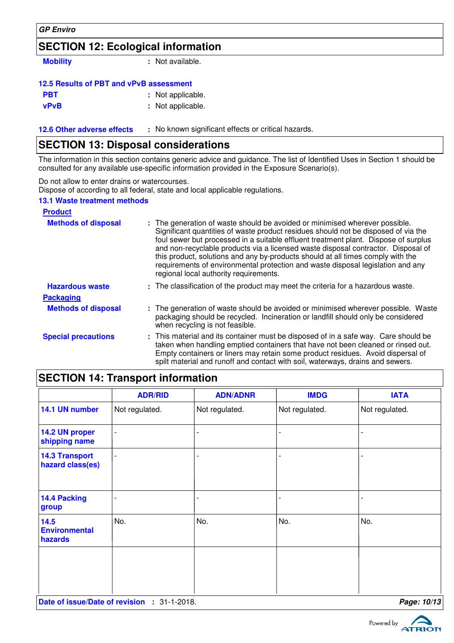### **GP Enviro**

## **SECTION 12: Ecological information**

**Mobility :** Not available.

### **12.5 Results of PBT and vPvB assessment**

| PBT | : Not applicable. |
|-----|-------------------|
|-----|-------------------|

**vPvB :** Not applicable.

**12.6 Other adverse effects** : No known significant effects or critical hazards.

## **SECTION 13: Disposal considerations**

The information in this section contains generic advice and guidance. The list of Identified Uses in Section 1 should be consulted for any available use-specific information provided in the Exposure Scenario(s).

Do not allow to enter drains or watercourses.

Dispose of according to all federal, state and local applicable regulations.

### **13.1 Waste treatment methods**

| <b>Product</b>             |                                                                                                                                                                                                                                                                                                                                                                                                                                                                                                                                                               |
|----------------------------|---------------------------------------------------------------------------------------------------------------------------------------------------------------------------------------------------------------------------------------------------------------------------------------------------------------------------------------------------------------------------------------------------------------------------------------------------------------------------------------------------------------------------------------------------------------|
| <b>Methods of disposal</b> | : The generation of waste should be avoided or minimised wherever possible.<br>Significant quantities of waste product residues should not be disposed of via the<br>foul sewer but processed in a suitable effluent treatment plant. Dispose of surplus<br>and non-recyclable products via a licensed waste disposal contractor. Disposal of<br>this product, solutions and any by-products should at all times comply with the<br>requirements of environmental protection and waste disposal legislation and any<br>regional local authority requirements. |
| <b>Hazardous waste</b>     | : The classification of the product may meet the criteria for a hazardous waste.                                                                                                                                                                                                                                                                                                                                                                                                                                                                              |
| <b>Packaging</b>           |                                                                                                                                                                                                                                                                                                                                                                                                                                                                                                                                                               |
| <b>Methods of disposal</b> | : The generation of waste should be avoided or minimised wherever possible. Waste<br>packaging should be recycled. Incineration or landfill should only be considered<br>when recycling is not feasible.                                                                                                                                                                                                                                                                                                                                                      |
| <b>Special precautions</b> | : This material and its container must be disposed of in a safe way. Care should be<br>taken when handling emptied containers that have not been cleaned or rinsed out.<br>Empty containers or liners may retain some product residues. Avoid dispersal of<br>spilt material and runoff and contact with soil, waterways, drains and sewers.                                                                                                                                                                                                                  |

## **SECTION 14: Transport information**

|                                           | <b>ADR/RID</b>     | <b>ADN/ADNR</b> | <b>IMDG</b>    | <b>IATA</b>    |
|-------------------------------------------|--------------------|-----------------|----------------|----------------|
| 14.1 UN number                            | Not regulated.     | Not regulated.  | Not regulated. | Not regulated. |
| 14.2 UN proper<br>shipping name           | $\overline{a}$     |                 |                |                |
| <b>14.3 Transport</b><br>hazard class(es) | $\overline{a}$     |                 |                |                |
| 14.4 Packing<br>group                     | -                  |                 |                |                |
| 14.5<br><b>Environmental</b><br>hazards   | No.                | No.             | No.            | No.            |
| Date of issue/Date of revision            | $: 31 - 1 - 2018.$ |                 |                | Page: 10/13    |

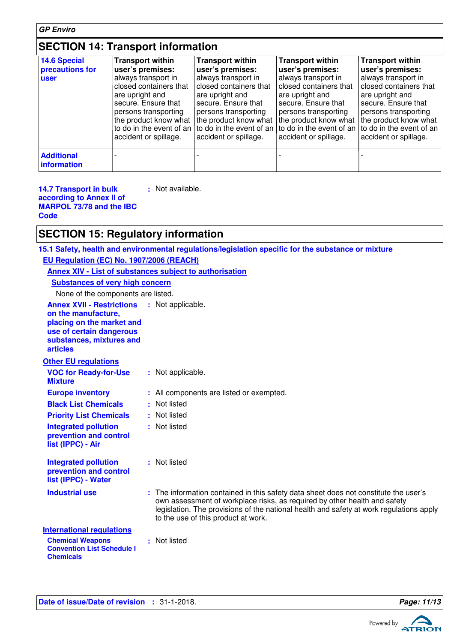## **SECTION 14: Transport information**

| 14.6 Special<br>precautions for<br><b>user</b> | <b>Transport within</b><br>user's premises:<br>always transport in<br>closed containers that<br>are upright and<br>secure. Ensure that<br>persons transporting<br>the product know what<br>to do in the event of an<br>accident or spillage. | <b>Transport within</b><br>user's premises:<br>always transport in<br>closed containers that<br>are upright and<br>secure. Ensure that<br>persons transporting<br>the product know what<br>to do in the event of an<br>accident or spillage. | <b>Transport within</b><br>user's premises:<br>always transport in<br>closed containers that<br>are upright and<br>secure. Ensure that<br>persons transporting<br>the product know what<br>accident or spillage. | <b>Transport within</b><br>user's premises:<br>always transport in<br>closed containers that<br>are upright and<br>secure. Ensure that<br>persons transporting<br>the product know what<br>to do in the event of an   to do in the event of an<br>accident or spillage. |
|------------------------------------------------|----------------------------------------------------------------------------------------------------------------------------------------------------------------------------------------------------------------------------------------------|----------------------------------------------------------------------------------------------------------------------------------------------------------------------------------------------------------------------------------------------|------------------------------------------------------------------------------------------------------------------------------------------------------------------------------------------------------------------|-------------------------------------------------------------------------------------------------------------------------------------------------------------------------------------------------------------------------------------------------------------------------|
| <b>Additional</b><br><b>linformation</b>       |                                                                                                                                                                                                                                              |                                                                                                                                                                                                                                              |                                                                                                                                                                                                                  |                                                                                                                                                                                                                                                                         |

**14.7 Transport in bulk according to Annex II of MARPOL 73/78 and the IBC Code**

**:** Not available.

## **SECTION 15: Regulatory information**

**15.1 Safety, health and environmental regulations/legislation specific for the substance or mixture**

| EU Regulation (EC) No. 1907/2006 (REACH)                                                                                                                                          |                                                                                                                                                                                                                                                                                                     |
|-----------------------------------------------------------------------------------------------------------------------------------------------------------------------------------|-----------------------------------------------------------------------------------------------------------------------------------------------------------------------------------------------------------------------------------------------------------------------------------------------------|
| Annex XIV - List of substances subject to authorisation                                                                                                                           |                                                                                                                                                                                                                                                                                                     |
| <b>Substances of very high concern</b>                                                                                                                                            |                                                                                                                                                                                                                                                                                                     |
| None of the components are listed.                                                                                                                                                |                                                                                                                                                                                                                                                                                                     |
| <b>Annex XVII - Restrictions : Not applicable.</b><br>on the manufacture,<br>placing on the market and<br>use of certain dangerous<br>substances, mixtures and<br><b>articles</b> |                                                                                                                                                                                                                                                                                                     |
| <b>Other EU regulations</b>                                                                                                                                                       |                                                                                                                                                                                                                                                                                                     |
| <b>VOC for Ready-for-Use</b><br><b>Mixture</b>                                                                                                                                    | : Not applicable.                                                                                                                                                                                                                                                                                   |
| <b>Europe inventory</b>                                                                                                                                                           | : All components are listed or exempted.                                                                                                                                                                                                                                                            |
| <b>Black List Chemicals</b>                                                                                                                                                       | : Not listed                                                                                                                                                                                                                                                                                        |
| <b>Priority List Chemicals</b>                                                                                                                                                    | : Not listed                                                                                                                                                                                                                                                                                        |
| <b>Integrated pollution</b><br>prevention and control<br>list (IPPC) - Air                                                                                                        | : Not listed                                                                                                                                                                                                                                                                                        |
| <b>Integrated pollution</b><br>prevention and control<br>list (IPPC) - Water                                                                                                      | : Not listed                                                                                                                                                                                                                                                                                        |
| <b>Industrial use</b>                                                                                                                                                             | : The information contained in this safety data sheet does not constitute the user's<br>own assessment of workplace risks, as required by other health and safety<br>legislation. The provisions of the national health and safety at work regulations apply<br>to the use of this product at work. |
| <b>International regulations</b>                                                                                                                                                  |                                                                                                                                                                                                                                                                                                     |
| <b>Chemical Weapons</b><br><b>Convention List Schedule I</b><br><b>Chemicals</b>                                                                                                  | : Not listed                                                                                                                                                                                                                                                                                        |

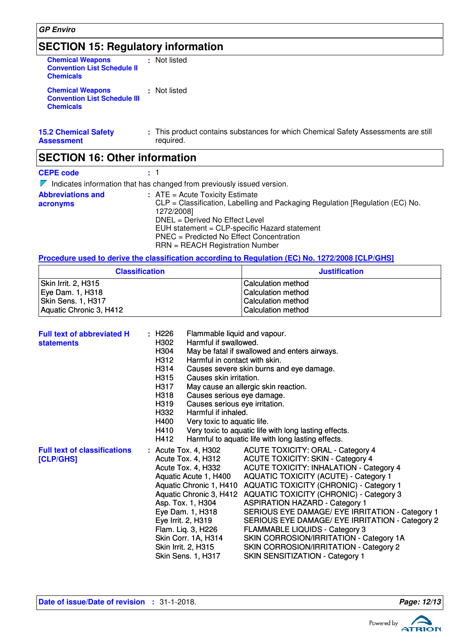## **SECTION 15: Regulatory information**

| <b>Chemical Weapons</b><br><b>Convention List Schedule II</b><br><b>Chemicals</b>  | : Not listed                                                                                    |
|------------------------------------------------------------------------------------|-------------------------------------------------------------------------------------------------|
| <b>Chemical Weapons</b><br><b>Convention List Schedule III</b><br><b>Chemicals</b> | : Not listed                                                                                    |
| <b>15.2 Chemical Safety</b><br>Assessment                                          | : This product contains substances for which Chemical Safety Assessments are still<br>required. |
| <b>SECTION 16: Other information</b>                                               |                                                                                                 |
| <b>CEPE code</b>                                                                   | $\pm$ 1                                                                                         |
|                                                                                    | $\nabla$ Indicates information that has changed from previously issued version.                 |
| <b>Abbreviations and</b>                                                           | $:$ ATE = Acute Toxicity Estimate                                                               |

**acronyms** CLP = Classification, Labelling and Packaging Regulation [Regulation (EC) No. 1272/2008] DNEL = Derived No Effect Level EUH statement = CLP-specific Hazard statement PNEC = Predicted No Effect Concentration RRN = REACH Registration Number

**Procedure used to derive the classification according to Regulation (EC) No. 1272/2008 [CLP/GHS]**

| <b>Classification</b>   | <b>Justification</b>      |  |
|-------------------------|---------------------------|--|
| Skin Irrit. 2, H315     | l Calculation method      |  |
| Eye Dam. 1, H318        | <b>Calculation method</b> |  |
| Skin Sens. 1, H317      | <b>Calculation method</b> |  |
| Aquatic Chronic 3, H412 | <b>Calculation method</b> |  |

| <b>Full text of abbreviated H</b><br><b>statements</b> | : H226<br>Flammable liquid and vapour.<br>Harmful if swallowed.<br>H302<br>H304<br>H312<br>Harmful in contact with skin.<br>H314<br>H315<br>Causes skin irritation.<br>H317<br>H318<br>Causes serious eye damage.<br>H319<br>Causes serious eye irritation.<br>Harmful if inhaled.<br>H332<br>H400<br>Very toxic to aquatic life.<br>H410<br>H412 | May be fatal if swallowed and enters airways.<br>Causes severe skin burns and eye damage.<br>May cause an allergic skin reaction.<br>Very toxic to aquatic life with long lasting effects.<br>Harmful to aquatic life with long lasting effects.                                                                                                                                                                                                                                                                                                                                                                                   |
|--------------------------------------------------------|---------------------------------------------------------------------------------------------------------------------------------------------------------------------------------------------------------------------------------------------------------------------------------------------------------------------------------------------------|------------------------------------------------------------------------------------------------------------------------------------------------------------------------------------------------------------------------------------------------------------------------------------------------------------------------------------------------------------------------------------------------------------------------------------------------------------------------------------------------------------------------------------------------------------------------------------------------------------------------------------|
| <b>Full text of classifications</b><br>[CLP/GHS]       | : Acute Tox. 4, H302<br>Acute Tox. 4, H312<br>Acute Tox. 4, H332<br>Aquatic Acute 1, H400<br>Aquatic Chronic 1, H410<br>Asp. Tox. 1, H304<br>Eye Dam. 1, H318<br>Eye Irrit. 2, H319<br>Flam. Lig. 3, H226<br>Skin Corr. 1A, H314<br>Skin Irrit. 2, H315<br>Skin Sens. 1, H317                                                                     | <b>ACUTE TOXICITY: ORAL - Category 4</b><br><b>ACUTE TOXICITY: SKIN - Category 4</b><br><b>ACUTE TOXICITY: INHALATION - Category 4</b><br><b>AQUATIC TOXICITY (ACUTE) - Category 1</b><br><b>AQUATIC TOXICITY (CHRONIC) - Category 1</b><br>Aquatic Chronic 3, H412 AQUATIC TOXICITY (CHRONIC) - Category 3<br><b>ASPIRATION HAZARD - Category 1</b><br>SERIOUS EYE DAMAGE/ EYE IRRITATION - Category 1<br>SERIOUS EYE DAMAGE/ EYE IRRITATION - Category 2<br><b>FLAMMABLE LIQUIDS - Category 3</b><br>SKIN CORROSION/IRRITATION - Category 1A<br>SKIN CORROSION/IRRITATION - Category 2<br><b>SKIN SENSITIZATION - Category 1</b> |